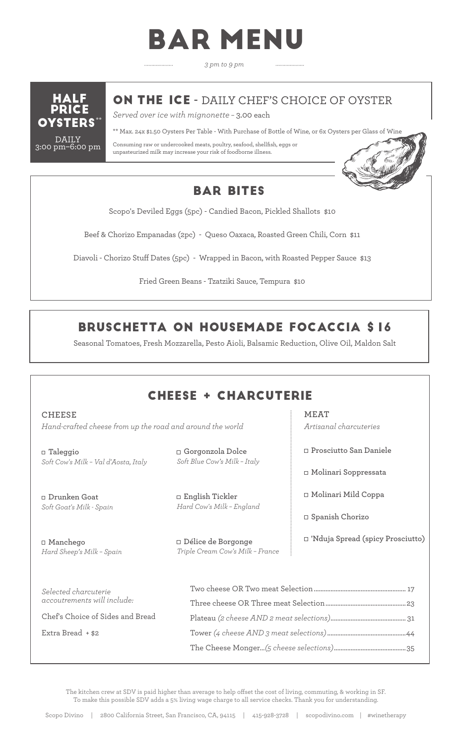# BAR MENU

*3 pm to 9 pm*



ON THE ICE **-** DAILY CHEF'S CHOICE OF OYSTER

*Served over ice with mignonette –* 3.00 each

. . . . . . . . . . . . . . . . . . .

\*\* Max. 24x \$1.50 Oysters Per Table - With Purchase of Bottle of Wine, or 6x Oysters per Glass of Wine

Consuming raw or undercooked meats, poultry, seafood, shellfish, eggs or unpasteurized milk may increase your risk of foodborne illness.



### BAR BITES

Scopo's Deviled Eggs (5pc) - Candied Bacon, Pickled Shallots \$10

Beef & Chorizo Empanadas (2pc) - Queso Oaxaca, Roasted Green Chili, Corn \$11

Diavoli - Chorizo Stuff Dates (5pc) - Wrapped in Bacon, with Roasted Pepper Sauce \$13

Fried Green Beans - Tzatziki Sauce, Tempura \$10

## BRUSCHETTA ON HOUSEMADE FOCACCIA \$16

Seasonal Tomatoes, Fresh Mozzarella, Pesto Aioli, Balsamic Reduction, Olive Oil, Maldon Salt

# CHEESE + CHARCUTERIE

#### **CHEESE**

*Hand-crafted cheese from up the road and around the world*

**Taleggio** *Soft Cow's Milk – Val d'Aosta, Italy*

**Drunken Goat** *Soft Goat's Milk - Spain*

**Manchego**  *Hard Sheep's Milk – Spain*

**Gorgonzola Dolce** *Soft Blue Cow's Milk – Italy*

**English Tickler** *Hard Cow's Milk – England*

**Délice de Borgonge** *Triple Cream Cow's Milk – France* **MEAT**  *Artisanal charcuteries*

**Prosciutto San Daniele**

**Molinari Soppressata**

**Molinari Mild Coppa**

**Spanish Chorizo**

**'Nduja Spread (spicy Prosciutto)**

| Selected charcuterie<br>accoutrements will include: |  |
|-----------------------------------------------------|--|
|                                                     |  |
| Chef's Choice of Sides and Bread                    |  |
| Extra Bread + \$2                                   |  |
|                                                     |  |
|                                                     |  |

The kitchen crew at SDV is paid higher than average to help offset the cost of living, commuting, & working in SF. To make this possible SDV adds a 5% living wage charge to all service checks. Thank you for understanding.